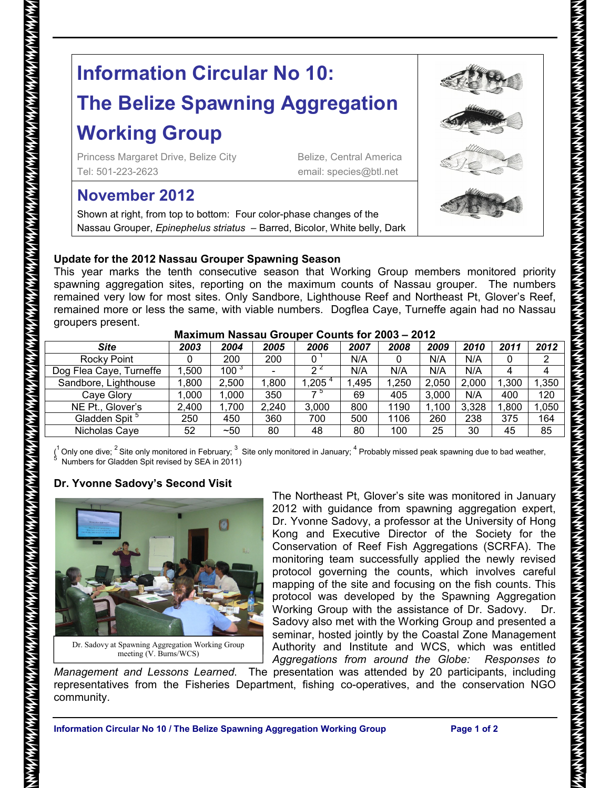# **Information Circular No 10: The Belize Spawning Aggregation Working Group**

Princess Margaret Drive, Belize City Belize, Central America Tel: 501-223-2623 email: species@btl.net

# **November 2012**

Shown at right, from top to bottom: Four color-phase changes of the Nassau Grouper, *Epinephelus striatus* – Barred, Bicolor, White belly, Dark

### **Update for the 2012 Nassau Grouper Spawning Season**

This year marks the tenth consecutive season that Working Group members monitored priority spawning aggregation sites, reporting on the maximum counts of Nassau grouper. The numbers remained very low for most sites. Only Sandbore, Lighthouse Reef and Northeast Pt, Glover's Reef, remained more or less the same, with viable numbers. Dogflea Caye, Turneffe again had no Nassau groupers present.

| 1114811114111 1149944 9194961 9941119 191 EVVV<br>---- |       |                  |       |       |      |       |       |       |       |       |
|--------------------------------------------------------|-------|------------------|-------|-------|------|-------|-------|-------|-------|-------|
| <b>Site</b>                                            | 2003  | 2004             | 2005  | 2006  | 2007 | 2008  | 2009  | 2010  | 2011  | 2012  |
| Rocky Point                                            |       | 200              | 200   |       | N/A  |       | N/A   | N/A   |       | 2     |
| Dog Flea Caye, Turneffe                                | .500  | 100 <sup>3</sup> |       |       | N/A  | N/A   | N/A   | N/A   | 4     | 4     |
| Sandbore, Lighthouse                                   | ,800  | 2,500            | ,800  | 1,205 | .495 | 1,250 | 2,050 | 2,000 | 1,300 | 1,350 |
| Cave Glory                                             | .000  | 1.000            | 350   | — ≎   | 69   | 405   | 3,000 | N/A   | 400   | 120   |
| NE Pt., Glover's                                       | 2,400 | 1,700            | 2,240 | 3.000 | 800  | 1190  | 1.100 | 3,328 | 1,800 | 1,050 |
| Gladden Spit <sup>5</sup>                              | 250   | 450              | 360   | 700   | 500  | 1106  | 260   | 238   | 375   | 164   |
| Nicholas Caye                                          | 52    | ~50              | 80    | 48    | 80   | 100   | 25    | 30    | 45    | 85    |

#### **Maximum Nassau Grouper Counts for 2003 – 2012**

(<sup>1</sup> Only one dive; <sup>2</sup> Site only monitored in February; <sup>3</sup> Site only monitored in January; <sup>4</sup> Probably missed peak spawning due to bad weather,<br><sup>5</sup> Numbers for Gladden Spit revised by SEA in 2011)

## **Dr. Yvonne Sadovy's Second Visit**



Dr. Sadovy at Spawning Aggregation Working Group meeting (V. Burns/WCS)

The Northeast Pt, Glover's site was monitored in January 2012 with guidance from spawning aggregation expert, Dr. Yvonne Sadovy, a professor at the University of Hong Kong and Executive Director of the Society for the Conservation of Reef Fish Aggregations (SCRFA). The monitoring team successfully applied the newly revised protocol governing the counts, which involves careful mapping of the site and focusing on the fish counts. This protocol was developed by the Spawning Aggregation Working Group with the assistance of Dr. Sadovy. Dr. Sadovy also met with the Working Group and presented a seminar, hosted jointly by the Coastal Zone Management Authority and Institute and WCS, which was entitled *Aggregations from around the Globe: Responses to* 

*Management and Lessons Learned*. The presentation was attended by 20 participants, including representatives from the Fisheries Department, fishing co-operatives, and the conservation NGO  ${\sf community.}$